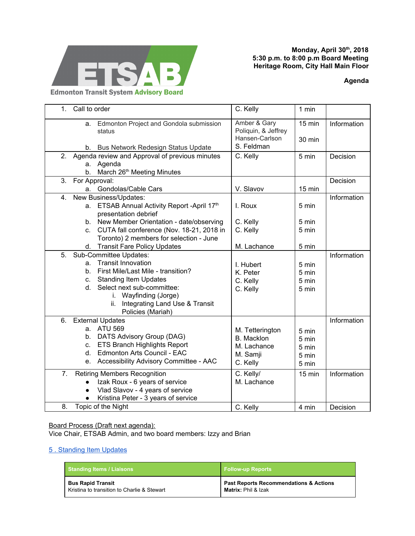

**Monday, April 30 th , 2018 5:30 p.m. to 8:00 p.m Board Meeting Heritage Room, City Hall Main Floor**

**Agenda**

| 1. | Call to order                                           | C. Kelly                                              | 1 min            |             |
|----|---------------------------------------------------------|-------------------------------------------------------|------------------|-------------|
|    | Edmonton Project and Gondola submission<br>a.<br>status | Amber & Gary<br>Poliquin, & Jeffrey<br>Hansen-Carlson | 15 min<br>30 min | Information |
|    | <b>Bus Network Redesign Status Update</b><br>b.         | S. Feldman                                            |                  |             |
| 2. | Agenda review and Approval of previous minutes          | C. Kelly                                              | 5 min            | Decision    |
|    | Agenda<br>a.                                            |                                                       |                  |             |
|    | March 26 <sup>th</sup> Meeting Minutes<br>b.            |                                                       |                  |             |
| 3. | For Approval:                                           |                                                       |                  | Decision    |
|    | a. Gondolas/Cable Cars                                  | V. Slavov                                             | 15 min           |             |
| 4. | New Business/Updates:                                   |                                                       |                  | Information |
|    | ETSAB Annual Activity Report -April 17th<br>а.          | I. Roux                                               | 5 min            |             |
|    | presentation debrief                                    |                                                       |                  |             |
|    | New Member Orientation - date/observing<br>b.           | C. Kelly                                              | 5 min            |             |
|    | CUTA fall conference (Nov. 18-21, 2018 in<br>C.         | C. Kelly                                              | 5 min            |             |
|    | Toronto) 2 members for selection - June                 |                                                       |                  |             |
|    | <b>Transit Fare Policy Updates</b><br>d.                | M. Lachance                                           | 5 min            |             |
| 5. | Sub-Committee Updates:                                  |                                                       |                  | Information |
|    | <b>Transit Innovation</b><br>a.                         | I. Hubert                                             | 5 min            |             |
|    | First Mile/Last Mile - transition?<br>b.                | K. Peter                                              | 5 min            |             |
|    | <b>Standing Item Updates</b><br>C.                      | C. Kelly                                              | 5 min            |             |
|    | Select next sub-committee:<br>d.                        | C. Kelly                                              | 5 min            |             |
|    | i. Wayfinding (Jorge)                                   |                                                       |                  |             |
|    | ii. Integrating Land Use & Transit                      |                                                       |                  |             |
|    | Policies (Mariah)                                       |                                                       |                  |             |
| 6. | <b>External Updates</b>                                 |                                                       |                  | Information |
|    | a. ATU 569                                              | M. Tetterington                                       | 5 min            |             |
|    | DATS Advisory Group (DAG)<br>b.                         | <b>B.</b> Macklon                                     | 5 min            |             |
|    | <b>ETS Branch Highlights Report</b><br>C.               | M. Lachance                                           | 5 min            |             |
|    | Edmonton Arts Council - EAC<br>d.                       | M. Samji                                              | 5 min            |             |
|    | Accessibility Advisory Committee - AAC<br>е.            | C. Kelly                                              | 5 min            |             |
| 7. | <b>Retiring Members Recognition</b>                     | C. Kelly/                                             | 15 min           | Information |
|    | Izak Roux - 6 years of service                          | M. Lachance                                           |                  |             |
|    | Vlad Slavov - 4 years of service<br>$\bullet$           |                                                       |                  |             |
|    | Kristina Peter - 3 years of service                     |                                                       |                  |             |
| 8. | Topic of the Night                                      | C. Kelly                                              | 4 min            | Decision    |

Board Process (Draft next agenda):

Vice Chair, ETSAB Admin, and two board members: Izzy and Brian

5 . Standing Item Updates

| Standing Items / Liaisons                   | <b>Follow-up Reports</b>                          |
|---------------------------------------------|---------------------------------------------------|
| <b>Bus Rapid Transit</b>                    | <b>Past Reports Recommendations &amp; Actions</b> |
| Kristina to transition to Charlie & Stewart | <b>Matrix: Phil &amp; Izak</b>                    |